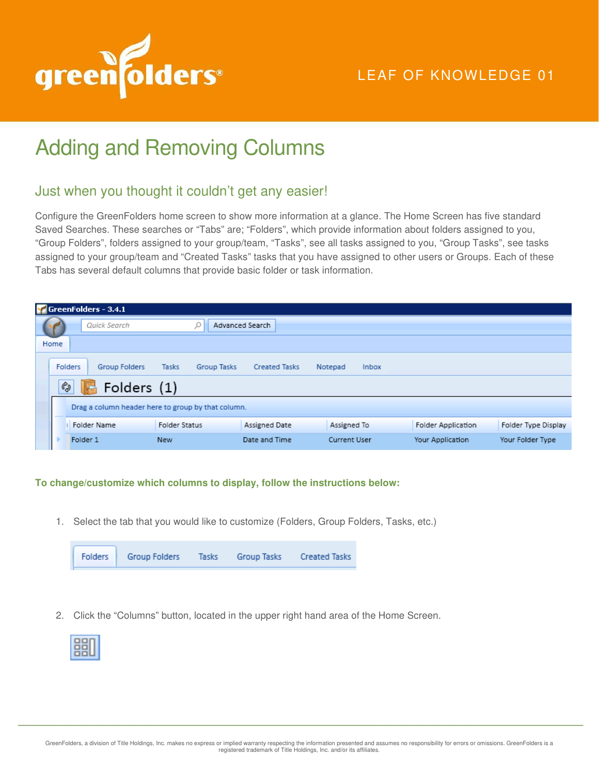

## LEAF OF KNOWLEDGE 01

## Adding and Removing Columns

## Just when you thought it couldn't get any easier!

Configure the GreenFolders home screen to show more information at a glance. The Home Screen has five standard Saved Searches. These searches or "Tabs" are; "Folders", which provide information about folders assigned to you, "Group Folders", folders assigned to your group/team, "Tasks", see all tasks assigned to you, "Group Tasks", see tasks assigned to your group/team and "Created Tasks" tasks that you have assigned to other users or Groups. Each of these Tabs has several default columns that provide basic folder or task information.

|      | $\sqrt{\frac{1}{2}}$ GreenFolders - 3.4.1 |                                                    |                      |                     |                           |                     |
|------|-------------------------------------------|----------------------------------------------------|----------------------|---------------------|---------------------------|---------------------|
|      | Quick Search                              |                                                    | Advanced Search      |                     |                           |                     |
| Home |                                           |                                                    |                      |                     |                           |                     |
|      | <b>Folders</b><br>Group Folders           | Tasks<br>Group Tasks                               | <b>Created Tasks</b> | Notepad<br>Inbox    |                           |                     |
|      | ¢<br>Folders (1)                          |                                                    |                      |                     |                           |                     |
|      |                                           | Drag a column header here to group by that column. |                      |                     |                           |                     |
|      | <b>Folder Name</b>                        | <b>Folder Status</b>                               | Assigned Date        | Assigned To         | <b>Folder Application</b> | Folder Type Display |
|      | Folder 1                                  | <b>New</b>                                         | Date and Time        | <b>Current User</b> | Your Application          | Your Folder Type    |

## **To change/customize which columns to display, follow the instructions below:**

1. Select the tab that you would like to customize (Folders, Group Folders, Tasks, etc.)



2. Click the "Columns" button, located in the upper right hand area of the Home Screen.